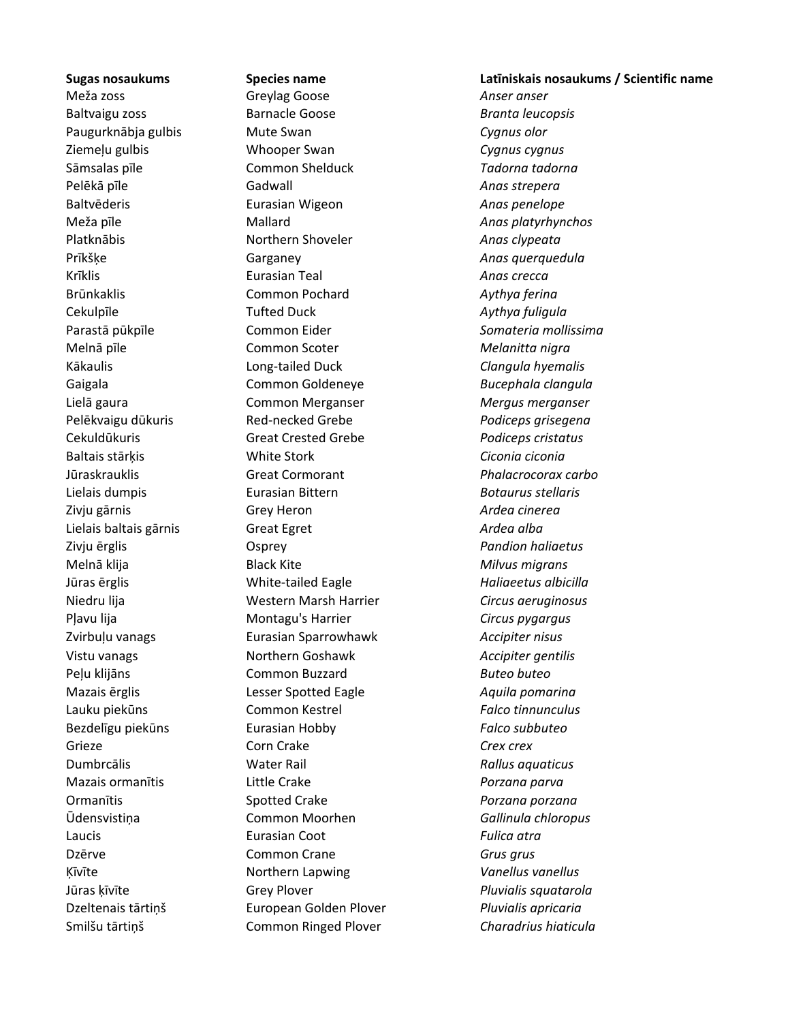Smilšu tārtiņš Common Ringed Plover *Charadrius hiaticula*

Meža zoss Greylag Goose *Anser anser* Baltvaigu zoss Barnacle Goose *Branta leucopsis* Paugurknābja gulbis Mute Swan *Cygnus olor* Ziemeļu gulbis Whooper Swan *Cygnus cygnus* Sāmsalas pīle Common Shelduck *Tadorna tadorna* Pelēkā pīle Gadwall *Anas strepera* Baltvēderis Eurasian Wigeon *Anas penelope* Meža pīle Mallard *Anas platyrhynchos* Platknābis Northern Shoveler *Anas clypeata* Prīkšķe Garganey *Anas querquedula* Krīklis Eurasian Teal *Anas crecca* Brūnkaklis Common Pochard *Aythya ferina* Cekulpīle Tufted Duck *Aythya fuligula* Parastā pūkpīle Common Eider *Somateria mollissima* Melnā pīle Common Scoter *Melanitta nigra* Kākaulis Long-tailed Duck *Clangula hyemalis* Gaigala Common Goldeneye *Bucephala clangula* Lielā gaura Common Merganser *Mergus merganser* Pelēkvaigu dūkuris Red-necked Grebe *Podiceps grisegena* Cekuldūkuris Great Crested Grebe *Podiceps cristatus* Baltais stārķis White Stork *Ciconia ciconia* Jūraskrauklis Great Cormorant *Phalacrocorax carbo* Lielais dumpis Eurasian Bittern *Botaurus stellaris* Zivju gārnis Grey Heron *Ardea cinerea* Lielais baltais gārnis Great Egret *Ardea alba* Zivju ērglis Osprey *Pandion haliaetus* Melnā klija Black Kite *Milvus migrans* Jūras ērglis White-tailed Eagle *Haliaeetus albicilla* Niedru lija Western Marsh Harrier *Circus aeruginosus* Pļavu lija Montagu's Harrier *Circus pygargus* Zvirbuļu vanags Eurasian Sparrowhawk *Accipiter nisus* Vistu vanags Northern Goshawk *Accipiter gentilis*  Peļu klijāns Common Buzzard *Buteo buteo* Mazais ērglis Lesser Spotted Eagle *Aquila pomarina* Lauku piekūns Common Kestrel *Falco tinnunculus* Bezdelīgu piekūns Eurasian Hobby *Falco subbuteo* Grieze Corn Crake *Crex crex* Dumbrcālis Water Rail *Rallus aquaticus* Mazais ormanītis Little Crake *Porzana parva* Ormanītis Spotted Crake *Porzana porzana* Ūdensvistiņa Common Moorhen *Gallinula chloropus* Laucis Eurasian Coot *Fulica atra* Dzērve Common Crane *Grus grus* Ķīvīte Northern Lapwing *Vanellus vanellus* Jūras ķīvīte Grey Plover *Pluvialis squatarola* Dzeltenais tārtiņš European Golden Plover *Pluvialis apricaria*

**Sugas nosaukums Species name Latīniskais nosaukums / Scientific name**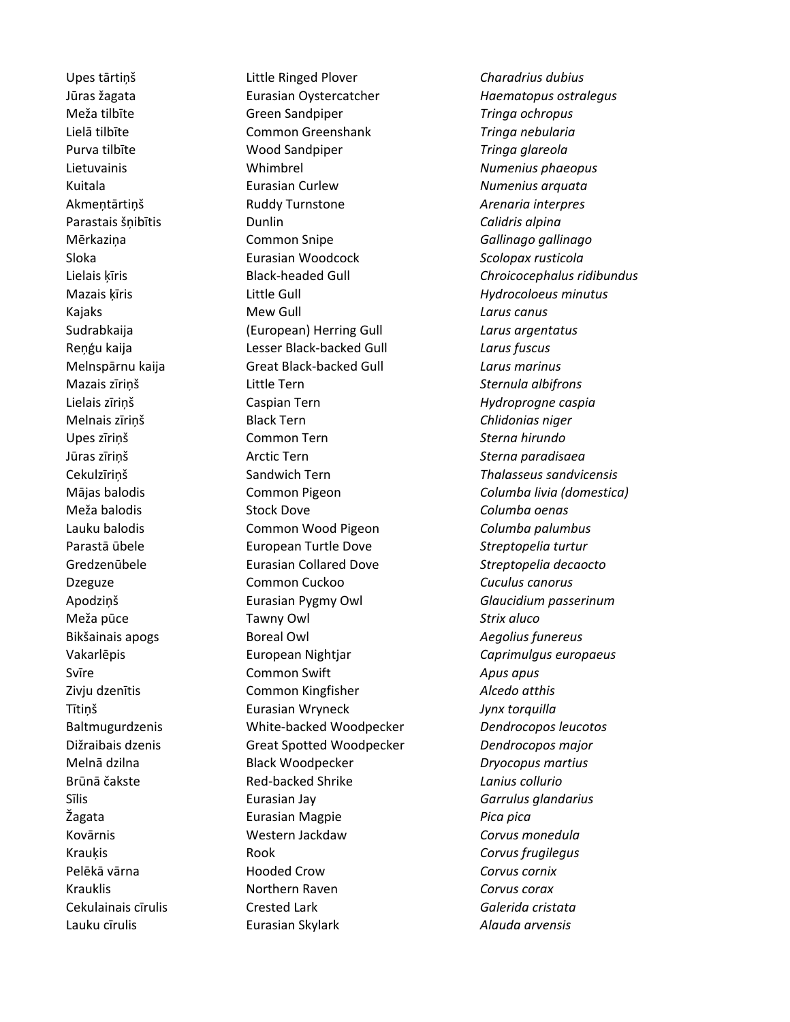Upes tārtiņš Little Ringed Plover *Charadrius dubius* Jūras žagata Eurasian Oystercatcher *Haematopus ostralegus* Meža tilbīte Green Sandpiper *Tringa ochropus* Lielā tilbīte Common Greenshank *Tringa nebularia* Purva tilbīte Wood Sandpiper *Tringa glareola* Lietuvainis Whimbrel *Numenius phaeopus* Kuitala Eurasian Curlew *Numenius arquata* Akmeņtārtiņš Ruddy Turnstone *Arenaria interpres* Parastais šņibītis Dunlin *Calidris alpina* Mērkaziņa Common Snipe *Gallinago gallinago* Sloka Eurasian Woodcock *Scolopax rusticola* Lielais ķīris Black-headed Gull *Chroicocephalus ridibundus* Mazais ķīris Little Gull *Hydrocoloeus minutus* Kajaks **Mew Gull Call Larus canus** *Larus canus* Sudrabkaija (European) Herring Gull *Larus argentatus* Reņģu kaija Lesser Black-backed Gull *Larus fuscus* Melnspārnu kaija Great Black-backed Gull *Larus marinus* Mazais zīriņš Little Tern *Sternula albifrons* Lielais zīriņš Caspian Tern *Hydroprogne caspia* Melnais zīriņš Black Tern *Chlidonias niger* Upes zīriņš Common Tern *Sterna hirundo* Jūras zīriņš Arctic Tern *Sterna paradisaea* Cekulzīriņš Sandwich Tern *Thalasseus sandvicensis* Mājas balodis Common Pigeon *Columba livia (domestica)* Meža balodis Stock Dove *Columba oenas* Lauku balodis Common Wood Pigeon *Columba palumbus* Parastā ūbele European Turtle Dove *Streptopelia turtur* Gredzenūbele Eurasian Collared Dove *Streptopelia decaocto* Dzeguze Common Cuckoo *Cuculus canorus* Apodziņš Eurasian Pygmy Owl *Glaucidium passerinum* Meža pūce Tawny Owl *Strix aluco* Bikšainais apogs Boreal Owl *Aegolius funereus* Vakarlēpis European Nightjar *Caprimulgus europaeus* Svīre Common Swift *Apus apus* Zivju dzenītis Common Kingfisher *Alcedo atthis* Tītiņš Eurasian Wryneck *Jynx torquilla* Baltmugurdzenis White-backed Woodpecker *Dendrocopos leucotos* Dižraibais dzenis Great Spotted Woodpecker *Dendrocopos major* Melnā dzilna Black Woodpecker *Dryocopus martius* Brūnā čakste Red-backed Shrike *Lanius collurio* Sīlis Eurasian Jay *Garrulus glandarius* Žagata Eurasian Magpie *Pica pica* Kovārnis Western Jackdaw *Corvus monedula* Krauķis Rook *Corvus frugilegus* Pelēkā vārna Hooded Crow *Corvus cornix* Krauklis Northern Raven *Corvus corax* Cekulainais cīrulis Crested Lark *Galerida cristata*

Lauku cīrulis Eurasian Skylark *Alauda arvensis*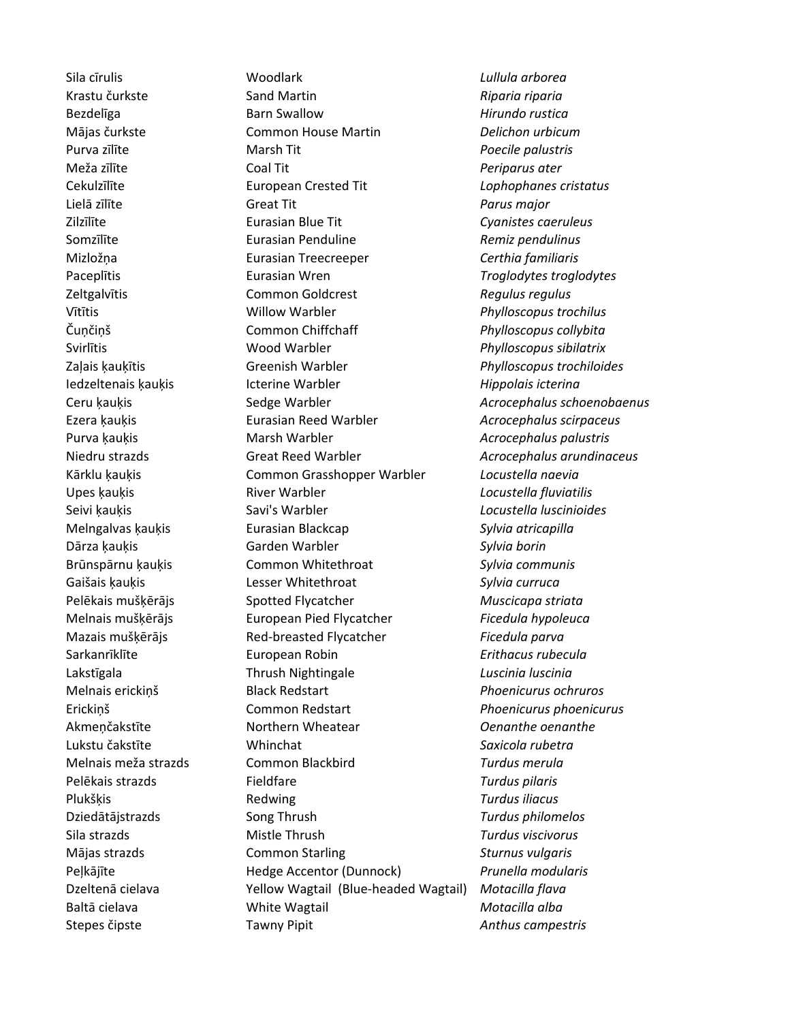Stepes čipste Tawny Pipit *Anthus campestris*

Sila cīrulis Woodlark *Lullula arborea* Krastu čurkste Sand Martin *Riparia riparia* Bezdelīga Barn Swallow *Hirundo rustica* Mājas čurkste Common House Martin *Delichon urbicum* Purva zīlīte Marsh Tit *Poecile palustris* Meža zīlīte Coal Tit *Periparus ater* Cekulzīlīte European Crested Tit *Lophophanes cristatus* Lielā zīlīte Great Tit *Parus major* Zilzīlīte Eurasian Blue Tit *Cyanistes caeruleus* Somzīlīte Eurasian Penduline *Remiz pendulinus* Mizložņa Eurasian Treecreeper *Certhia familiaris* Paceplītis Eurasian Wren *Troglodytes troglodytes* Zeltgalvītis Common Goldcrest *Regulus regulus* Vītītis Willow Warbler *Phylloscopus trochilus* Čuņčiņš Common Chiffchaff *Phylloscopus collybita* Svirlītis Wood Warbler *Phylloscopus sibilatrix* Zaļais ķauķītis Greenish Warbler *Phylloscopus trochiloides* Iedzeltenais ķauķis Icterine Warbler *Hippolais icterina* Ceru ķauķis Sedge Warbler *Acrocephalus schoenobaenus* Ezera ķauķis Eurasian Reed Warbler *Acrocephalus scirpaceus* Purva ķauķis Marsh Warbler *Acrocephalus palustris* Niedru strazds Great Reed Warbler *Acrocephalus arundinaceus* Kārklu ķauķis Common Grasshopper Warbler *Locustella naevia* Upes ķauķis River Warbler *Locustella fluviatilis* Seivi ķauķis Savi's Warbler *Locustella luscinioides* Melngalvas ķauķis Eurasian Blackcap *Sylvia atricapilla* Dārza ķauķis Garden Warbler *Sylvia borin* Brūnspārnu ķauķis Common Whitethroat *Sylvia communis* Gaišais ķauķis Lesser Whitethroat *Sylvia curruca* Pelēkais mušķērājs Spotted Flycatcher *Muscicapa striata* Melnais mušķērājs European Pied Flycatcher *Ficedula hypoleuca* Mazais mušķērājs Red-breasted Flycatcher *Ficedula parva* Sarkanrīklīte European Robin *Erithacus rubecula* Lakstīgala Thrush Nightingale *Luscinia luscinia* Melnais erickiņš Black Redstart *Phoenicurus ochruros* Erickiņš Common Redstart *Phoenicurus phoenicurus* Akmeņčakstīte Northern Wheatear *Oenanthe oenanthe* Lukstu čakstīte Whinchat *Saxicola rubetra* Melnais meža strazds Common Blackbird *Turdus merula* Pelēkais strazds Fieldfare *Turdus pilaris* Plukšķis Redwing *Turdus iliacus* Dziedātājstrazds Song Thrush *Turdus philomelos* Sila strazds Mistle Thrush *Turdus viscivorus* Mājas strazds Common Starling *Sturnus vulgaris* Peļkājīte Hedge Accentor (Dunnock) *Prunella modularis* Dzeltenā cielava **Motacil** Vellow Wagtail (Blue-headed Wagtail) Motacilla flava Baltā cielava White Wagtail *Motacilla alba*